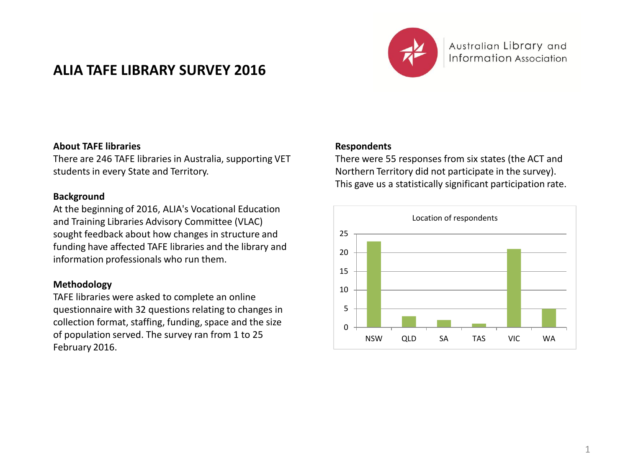# **ALIA TAFE LIBRARY SURVEY 2016**



Australian Library and Information Association

### **About TAFE libraries**

There are 246 TAFE libraries in Australia, supporting VET students in every State and Territory.

#### **Background**

At the beginning of 2016, ALIA's Vocational Education and Training Libraries Advisory Committee (VLAC) sought feedback about how changes in structure and funding have affected TAFE libraries and the library and information professionals who run them.

### **Methodology**

TAFE libraries were asked to complete an online questionnaire with 32 questions relating to changes in collection format, staffing, funding, space and the size of population served. The survey ran from 1 to 25 February 2016.

### **Respondents**

There were 55 responses from six states (the ACT and Northern Territory did not participate in the survey). This gave us a statistically significant participation rate.

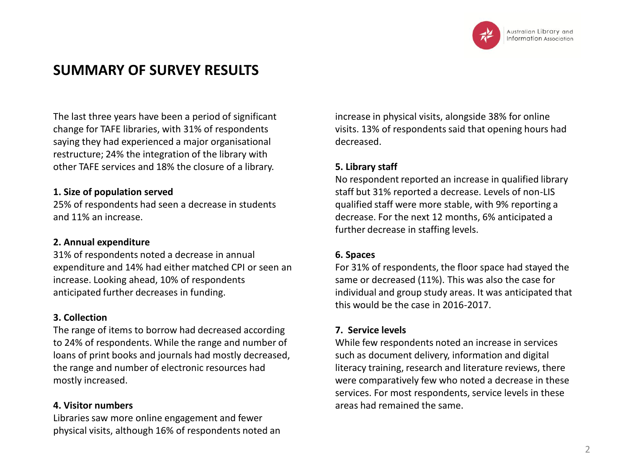

# **SUMMARY OF SURVEY RESULTS**

The last three years have been a period of significant change for TAFE libraries, with 31% of respondents saying they had experienced a major organisational restructure; 24% the integration of the library with other TAFE services and 18% the closure of a library.

### **1. Size of population served**

25% of respondents had seen a decrease in students and 11% an increase.

## **2. Annual expenditure**

31% of respondents noted a decrease in annual expenditure and 14% had either matched CPI or seen an increase. Looking ahead, 10% of respondents anticipated further decreases in funding.

## **3. Collection**

The range of items to borrow had decreased according to 24% of respondents. While the range and number of loans of print books and journals had mostly decreased, the range and number of electronic resources had mostly increased.

# **4. Visitor numbers**

Libraries saw more online engagement and fewer physical visits, although 16% of respondents noted an increase in physical visits, alongside 38% for online visits. 13% of respondents said that opening hours had decreased.

# **5. Library staff**

No respondent reported an increase in qualified library staff but 31% reported a decrease. Levels of non-LIS qualified staff were more stable, with 9% reporting a decrease. For the next 12 months, 6% anticipated a further decrease in staffing levels.

## **6. Spaces**

For 31% of respondents, the floor space had stayed the same or decreased (11%). This was also the case for individual and group study areas. It was anticipated that this would be the case in 2016-2017.

# **7. Service levels**

While few respondents noted an increase in services such as document delivery, information and digital literacy training, research and literature reviews, there were comparatively few who noted a decrease in these services. For most respondents, service levels in these areas had remained the same.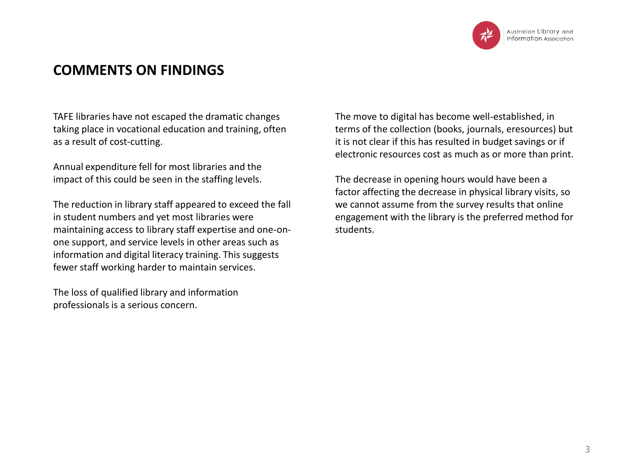

# **COMMENTS ON FINDINGS**

TAFE libraries have not escaped the dramatic changes taking place in vocational education and training, often as a result of cost-cutting.

Annual expenditure fell for most libraries and the impact of this could be seen in the staffing levels.

The reduction in library staff appeared to exceed the fall in student numbers and yet most libraries were maintaining access to library staff expertise and one-onone support, and service levels in other areas such as information and digital literacy training. This suggests fewer staff working harder to maintain services.

The loss of qualified library and information professionals is a serious concern.

The move to digital has become well-established, in terms of the collection (books, journals, eresources) but it is not clear if this has resulted in budget savings or if electronic resources cost as much as or more than print.

The decrease in opening hours would have been a factor affecting the decrease in physical library visits, so we cannot assume from the survey results that online engagement with the library is the preferred method for students.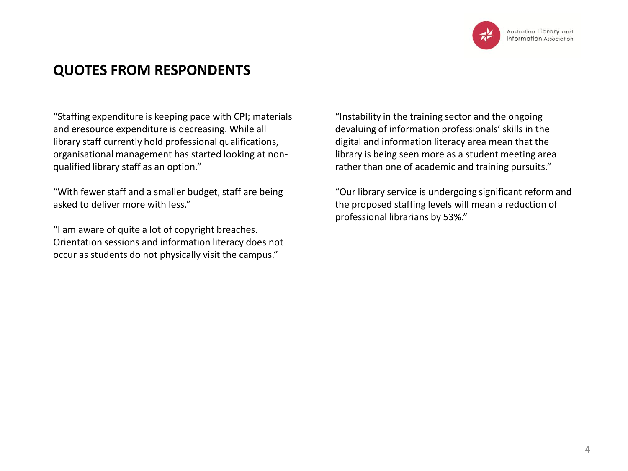

# **QUOTES FROM RESPONDENTS**

"Staffing expenditure is keeping pace with CPI; materials and eresource expenditure is decreasing. While all library staff currently hold professional qualifications, organisational management has started looking at nonqualified library staff as an option."

"With fewer staff and a smaller budget, staff are being asked to deliver more with less."

"I am aware of quite a lot of copyright breaches. Orientation sessions and information literacy does not occur as students do not physically visit the campus."

"Instability in the training sector and the ongoing devaluing of information professionals' skills in the digital and information literacy area mean that the library is being seen more as a student meeting area rather than one of academic and training pursuits."

"Our library service is undergoing significant reform and the proposed staffing levels will mean a reduction of professional librarians by 53%."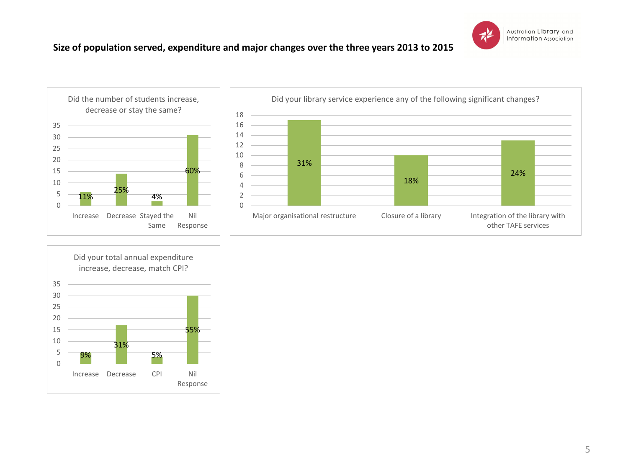

## **Size of population served, expenditure and major changes over the three years 2013 to 2015**





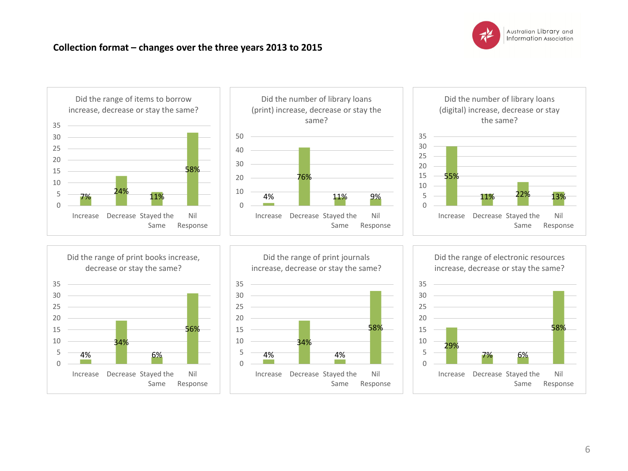

### **Collection format – changes over the three years 2013 to 2015**

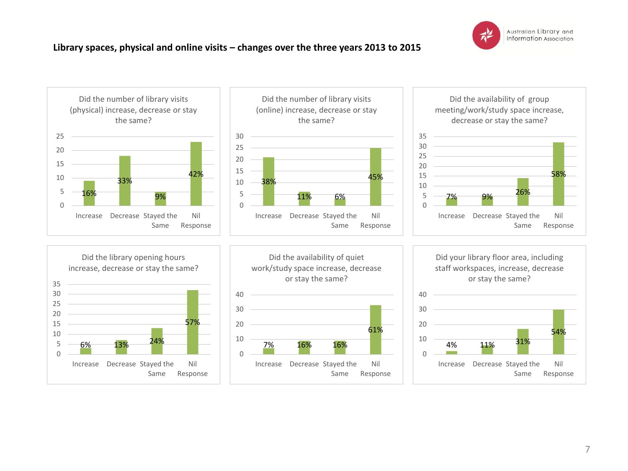

# **Library spaces, physical and online visits – changes over the three years 2013 to 2015**

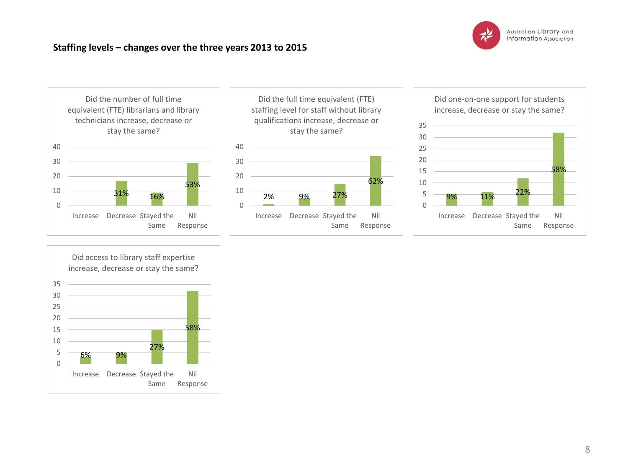

# **Staffing levels – changes over the three years 2013 to 2015**







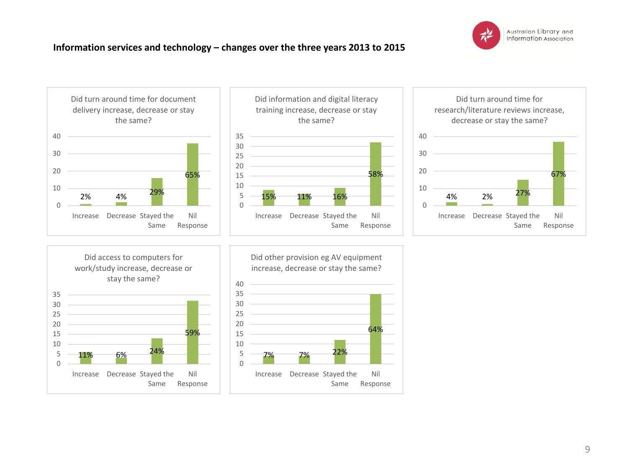

# **Information services and technology – changes over the three years 2013 to 2015**





58%

Nil Response

64%

Nil